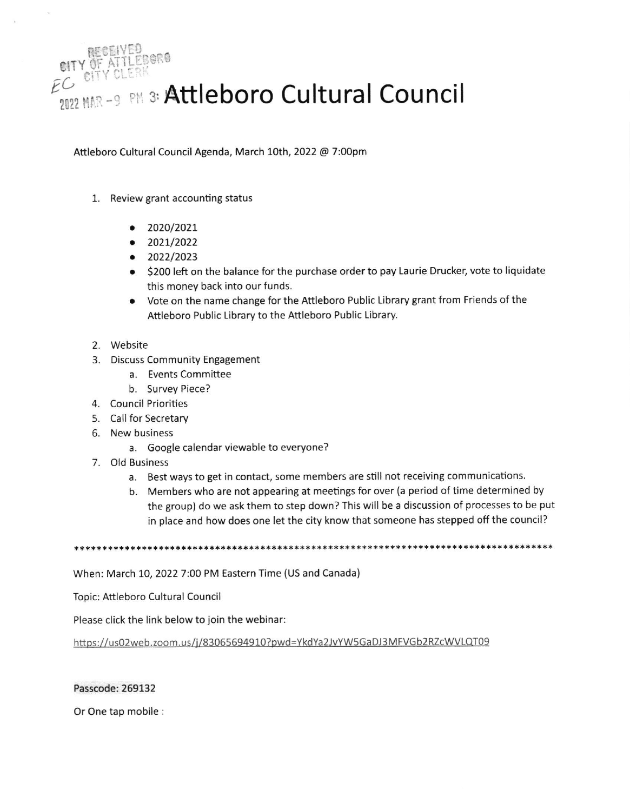

Attleboro Cultural Council Agenda, March 10th, 2022 @ 7:00pm

- 1. Review grant accounting status
	- $\bullet$  2020/2021
	- $\bullet$  2021/2022
	- $\bullet$  2022/2023
	- \$200 left on the balance for the purchase order to pay Laurie Drucker, vote to liquidate this money back into our funds.
	- Vote on the name change for the Attleboro Public Library grant from Friends of the Attleboro Public Library to the Attleboro Public Library.
- 2. Website
- 3. Discuss Community Engagement
	- a. Events Committee
	- b. Survey Piece?
- 4. Council Priorities
- 5. Call for Secretary
- 6. New business
	- a. Google calendar viewable to everyone?
- 7. Old Business
	- a. Best ways to get in contact, some members are still not receiving communications.
	- b. Members who are not appearing at meetings for over (a period of time determined by the group) do we ask them to step down? This will be a discussion of processes to be put in place and how does one let the city know that someone has stepped off the council?

\*\*\*\*\*\*\*\*\*\*\*\*\*\*\*\*\*\*\*\*\*\*\*\*\*\*\*\*\*

When: March 10, 2022 7:00 PM Eastern Time (US and Canada)

Topic: Attleboro Cultural Council

Please click the link below to join the webinar:

https://us02web.zoom.us/j/83065694910?pwd=YkdYa2JvYW5GaDJ3MFVGb2RZcWVLQT09

## Passcode: 269132

Or One tap mobile :